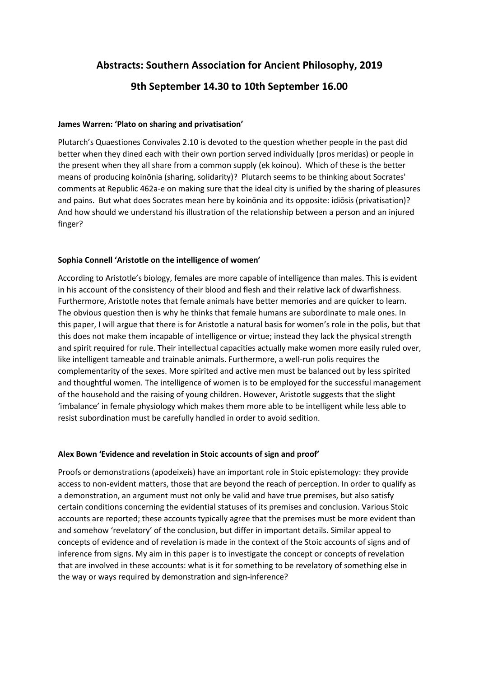# **Abstracts: Southern Association for Ancient Philosophy, 2019 9th September 14.30 to 10th September 16.00**

### **James Warren: 'Plato on sharing and privatisation'**

Plutarch's Quaestiones Convivales 2.10 is devoted to the question whether people in the past did better when they dined each with their own portion served individually (pros meridas) or people in the present when they all share from a common supply (ek koinou). Which of these is the better means of producing koinōnia (sharing, solidarity)? Plutarch seems to be thinking about Socrates' comments at Republic 462a-e on making sure that the ideal city is unified by the sharing of pleasures and pains. But what does Socrates mean here by koinōnia and its opposite: idiōsis (privatisation)? And how should we understand his illustration of the relationship between a person and an injured finger?

## **Sophia Connell 'Aristotle on the intelligence of women'**

According to Aristotle's biology, females are more capable of intelligence than males. This is evident in his account of the consistency of their blood and flesh and their relative lack of dwarfishness. Furthermore, Aristotle notes that female animals have better memories and are quicker to learn. The obvious question then is why he thinks that female humans are subordinate to male ones. In this paper, I will argue that there is for Aristotle a natural basis for women's role in the polis, but that this does not make them incapable of intelligence or virtue; instead they lack the physical strength and spirit required for rule. Their intellectual capacities actually make women more easily ruled over, like intelligent tameable and trainable animals. Furthermore, a well-run polis requires the complementarity of the sexes. More spirited and active men must be balanced out by less spirited and thoughtful women. The intelligence of women is to be employed for the successful management of the household and the raising of young children. However, Aristotle suggests that the slight 'imbalance' in female physiology which makes them more able to be intelligent while less able to resist subordination must be carefully handled in order to avoid sedition.

## **Alex Bown 'Evidence and revelation in Stoic accounts of sign and proof'**

Proofs or demonstrations (apodeixeis) have an important role in Stoic epistemology: they provide access to non-evident matters, those that are beyond the reach of perception. In order to qualify as a demonstration, an argument must not only be valid and have true premises, but also satisfy certain conditions concerning the evidential statuses of its premises and conclusion. Various Stoic accounts are reported; these accounts typically agree that the premises must be more evident than and somehow 'revelatory' of the conclusion, but differ in important details. Similar appeal to concepts of evidence and of revelation is made in the context of the Stoic accounts of signs and of inference from signs. My aim in this paper is to investigate the concept or concepts of revelation that are involved in these accounts: what is it for something to be revelatory of something else in the way or ways required by demonstration and sign-inference?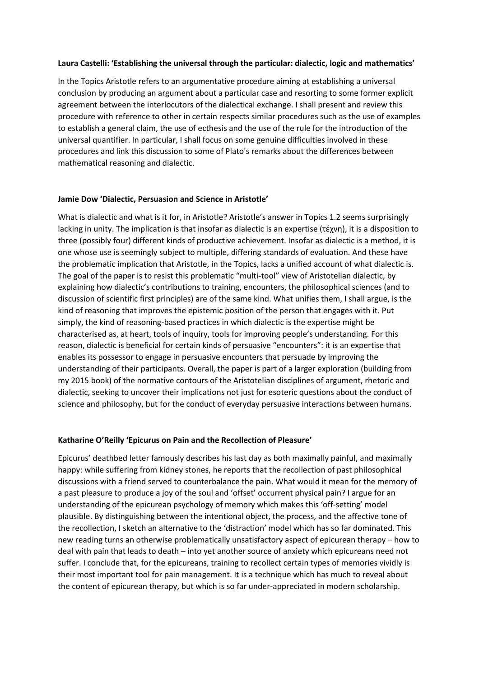#### **Laura Castelli: 'Establishing the universal through the particular: dialectic, logic and mathematics'**

In the Topics Aristotle refers to an argumentative procedure aiming at establishing a universal conclusion by producing an argument about a particular case and resorting to some former explicit agreement between the interlocutors of the dialectical exchange. I shall present and review this procedure with reference to other in certain respects similar procedures such as the use of examples to establish a general claim, the use of ecthesis and the use of the rule for the introduction of the universal quantifier. In particular, I shall focus on some genuine difficulties involved in these procedures and link this discussion to some of Plato's remarks about the differences between mathematical reasoning and dialectic.

#### **Jamie Dow 'Dialectic, Persuasion and Science in Aristotle'**

What is dialectic and what is it for, in Aristotle? Aristotle's answer in Topics 1.2 seems surprisingly lacking in unity. The implication is that insofar as dialectic is an expertise (τέχνη), it is a disposition to three (possibly four) different kinds of productive achievement. Insofar as dialectic is a method, it is one whose use is seemingly subject to multiple, differing standards of evaluation. And these have the problematic implication that Aristotle, in the Topics, lacks a unified account of what dialectic is. The goal of the paper is to resist this problematic "multi-tool" view of Aristotelian dialectic, by explaining how dialectic's contributions to training, encounters, the philosophical sciences (and to discussion of scientific first principles) are of the same kind. What unifies them, I shall argue, is the kind of reasoning that improves the epistemic position of the person that engages with it. Put simply, the kind of reasoning-based practices in which dialectic is the expertise might be characterised as, at heart, tools of inquiry, tools for improving people's understanding. For this reason, dialectic is beneficial for certain kinds of persuasive "encounters": it is an expertise that enables its possessor to engage in persuasive encounters that persuade by improving the understanding of their participants. Overall, the paper is part of a larger exploration (building from my 2015 book) of the normative contours of the Aristotelian disciplines of argument, rhetoric and dialectic, seeking to uncover their implications not just for esoteric questions about the conduct of science and philosophy, but for the conduct of everyday persuasive interactions between humans.

#### **Katharine O'Reilly 'Epicurus on Pain and the Recollection of Pleasure'**

Epicurus' deathbed letter famously describes his last day as both maximally painful, and maximally happy: while suffering from kidney stones, he reports that the recollection of past philosophical discussions with a friend served to counterbalance the pain. What would it mean for the memory of a past pleasure to produce a joy of the soul and 'offset' occurrent physical pain? I argue for an understanding of the epicurean psychology of memory which makes this 'off-setting' model plausible. By distinguishing between the intentional object, the process, and the affective tone of the recollection, I sketch an alternative to the 'distraction' model which has so far dominated. This new reading turns an otherwise problematically unsatisfactory aspect of epicurean therapy – how to deal with pain that leads to death – into yet another source of anxiety which epicureans need not suffer. I conclude that, for the epicureans, training to recollect certain types of memories vividly is their most important tool for pain management. It is a technique which has much to reveal about the content of epicurean therapy, but which is so far under-appreciated in modern scholarship.